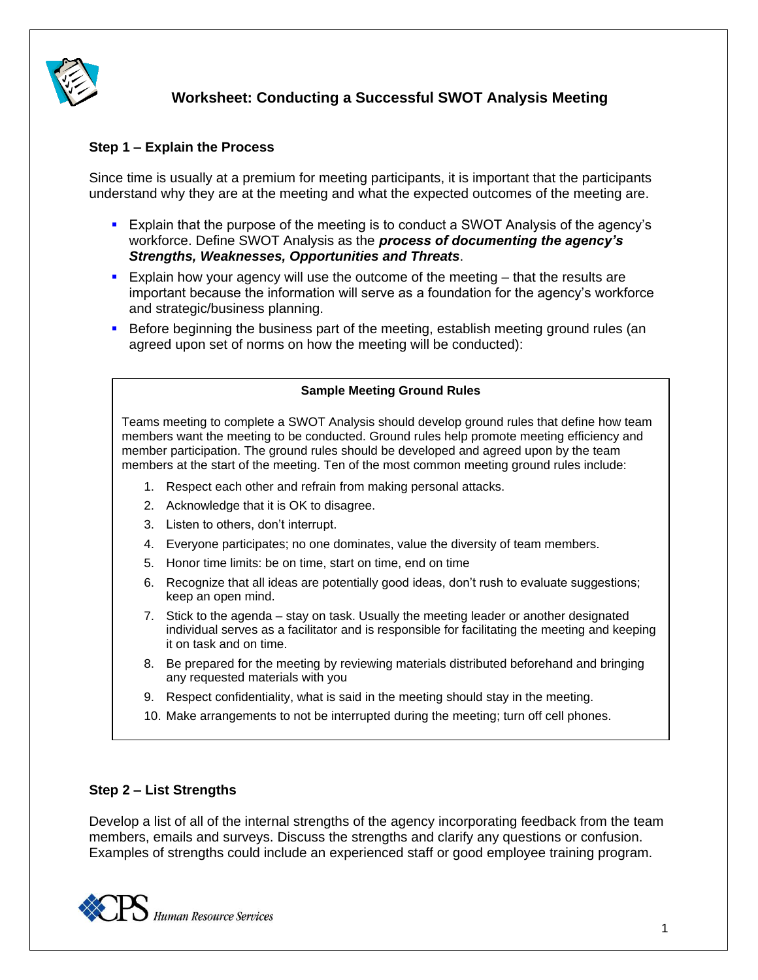

# **Worksheet: Conducting a Successful SWOT Analysis Meeting**

## **Step 1 – Explain the Process**

Since time is usually at a premium for meeting participants, it is important that the participants understand why they are at the meeting and what the expected outcomes of the meeting are.

- Explain that the purpose of the meeting is to conduct a SWOT Analysis of the agency's workforce. Define SWOT Analysis as the *process of documenting the agency's Strengths, Weaknesses, Opportunities and Threats*.
- **Explain how your agency will use the outcome of the meeting that the results are** important because the information will serve as a foundation for the agency's workforce and strategic/business planning.
- Before beginning the business part of the meeting, establish meeting ground rules (an agreed upon set of norms on how the meeting will be conducted):

#### **Sample Meeting Ground Rules**

Teams meeting to complete a SWOT Analysis should develop ground rules that define how team members want the meeting to be conducted. Ground rules help promote meeting efficiency and member participation. The ground rules should be developed and agreed upon by the team members at the start of the meeting. Ten of the most common meeting ground rules include:

- 1. Respect each other and refrain from making personal attacks.
- 2. Acknowledge that it is OK to disagree.
- 3. Listen to others, don't interrupt.
- 4. Everyone participates; no one dominates, value the diversity of team members.
- 5. Honor time limits: be on time, start on time, end on time
- 6. Recognize that all ideas are potentially good ideas, don't rush to evaluate suggestions; keep an open mind.
- 7. Stick to the agenda stay on task. Usually the meeting leader or another designated individual serves as a facilitator and is responsible for facilitating the meeting and keeping it on task and on time.
- 8. Be prepared for the meeting by reviewing materials distributed beforehand and bringing any requested materials with you
- 9. Respect confidentiality, what is said in the meeting should stay in the meeting.
- 10. Make arrangements to not be interrupted during the meeting; turn off cell phones.

#### **Step 2 – List Strengths**

Develop a list of all of the internal strengths of the agency incorporating feedback from the team members, emails and surveys. Discuss the strengths and clarify any questions or confusion. Examples of strengths could include an experienced staff or good employee training program.

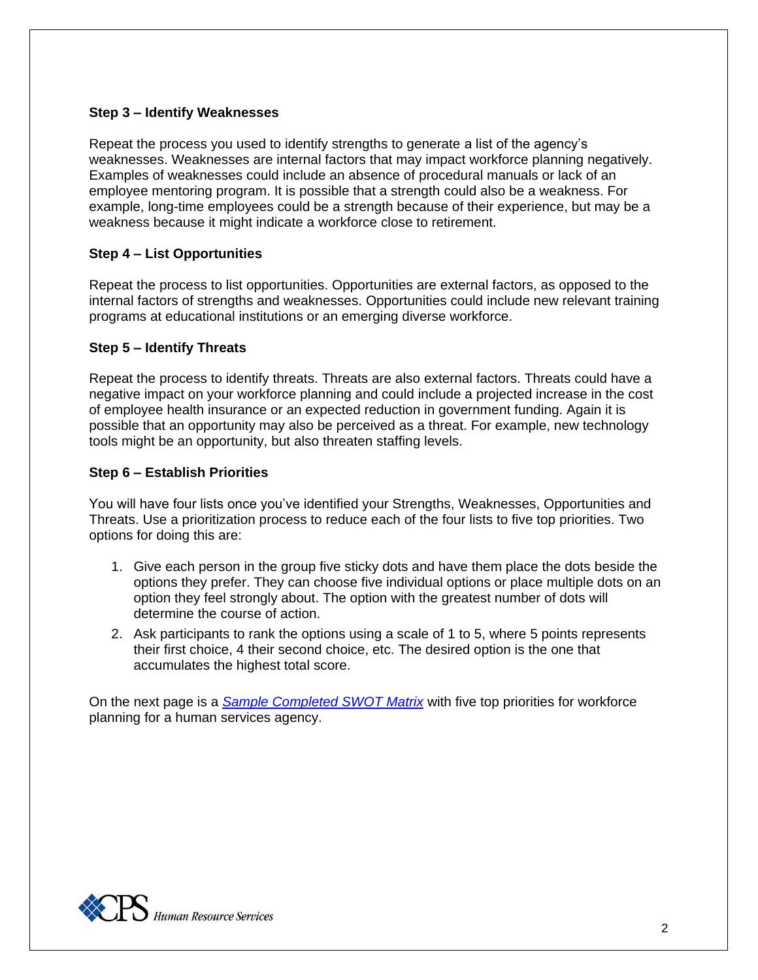### **Step 3 – Identify Weaknesses**

Repeat the process you used to identify strengths to generate a list of the agency's weaknesses. Weaknesses are internal factors that may impact workforce planning negatively. Examples of weaknesses could include an absence of procedural manuals or lack of an employee mentoring program. It is possible that a strength could also be a weakness. For example, long-time employees could be a strength because of their experience, but may be a weakness because it might indicate a workforce close to retirement.

## **Step 4 – List Opportunities**

Repeat the process to list opportunities. Opportunities are external factors, as opposed to the internal factors of strengths and weaknesses. Opportunities could include new relevant training programs at educational institutions or an emerging diverse workforce.

### **Step 5 – Identify Threats**

Repeat the process to identify threats. Threats are also external factors. Threats could have a negative impact on your workforce planning and could include a projected increase in the cost of employee health insurance or an expected reduction in government funding. Again it is possible that an opportunity may also be perceived as a threat. For example, new technology tools might be an opportunity, but also threaten staffing levels.

## **Step 6 – Establish Priorities**

You will have four lists once you've identified your Strengths, Weaknesses, Opportunities and Threats. Use a prioritization process to reduce each of the four lists to five top priorities. Two options for doing this are:

- 1. Give each person in the group five sticky dots and have them place the dots beside the options they prefer. They can choose five individual options or place multiple dots on an option they feel strongly about. The option with the greatest number of dots will determine the course of action.
- 2. Ask participants to rank the options using a scale of 1 to 5, where 5 points represents their first choice, 4 their second choice, etc. The desired option is the one that accumulates the highest total score.

On the next page is a *[Sample Completed SWOT Matrix](http://www.cpshr.us/workforceplanning/documents/SampleCompletedSWOTAnalysis.pdf)* with five top priorities for workforce planning for a human services agency.

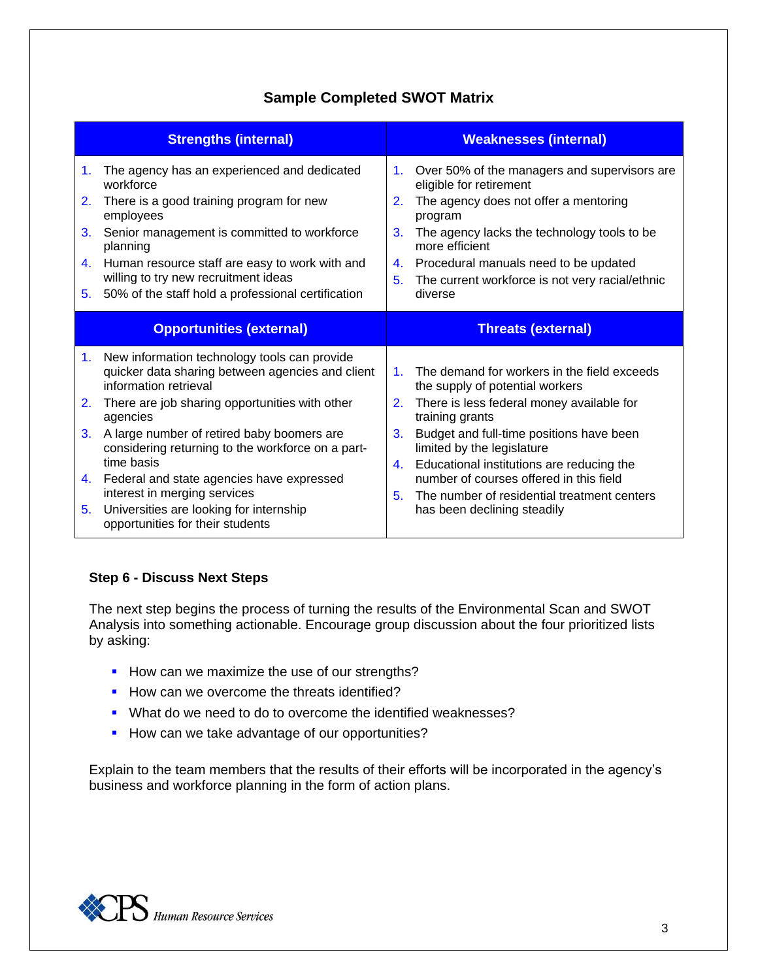# **Sample Completed SWOT Matrix**

| <b>Strengths (internal)</b> |                                                                                                                           | <b>Weaknesses (internal)</b> |                                                                                                 |
|-----------------------------|---------------------------------------------------------------------------------------------------------------------------|------------------------------|-------------------------------------------------------------------------------------------------|
| 1.                          | The agency has an experienced and dedicated<br>workforce                                                                  | 1.                           | Over 50% of the managers and supervisors are<br>eligible for retirement                         |
| 2.                          | There is a good training program for new<br>employees                                                                     | 2.                           | The agency does not offer a mentoring<br>program                                                |
| 3.                          | Senior management is committed to workforce<br>planning                                                                   | 3.                           | The agency lacks the technology tools to be<br>more efficient                                   |
| 4.                          | Human resource staff are easy to work with and<br>willing to try new recruitment ideas                                    | 4.                           | Procedural manuals need to be updated                                                           |
| 5.                          | 50% of the staff hold a professional certification                                                                        | 5.                           | The current workforce is not very racial/ethnic<br>diverse                                      |
|                             |                                                                                                                           |                              |                                                                                                 |
|                             | <b>Opportunities (external)</b>                                                                                           |                              | <b>Threats (external)</b>                                                                       |
| 1.                          | New information technology tools can provide<br>quicker data sharing between agencies and client<br>information retrieval | $1_{-}$                      | The demand for workers in the field exceeds                                                     |
| 2.                          | There are job sharing opportunities with other<br>agencies                                                                | 2.                           | the supply of potential workers<br>There is less federal money available for<br>training grants |
| $3_{-}$                     | A large number of retired baby boomers are<br>considering returning to the workforce on a part-                           | 3.                           | Budget and full-time positions have been<br>limited by the legislature                          |
|                             | time basis                                                                                                                | 4.                           | Educational institutions are reducing the                                                       |
| 4.                          | Federal and state agencies have expressed<br>interest in merging services                                                 | 5.                           | number of courses offered in this field<br>The number of residential treatment centers          |

# **Step 6 - Discuss Next Steps**

The next step begins the process of turning the results of the Environmental Scan and SWOT Analysis into something actionable. Encourage group discussion about the four prioritized lists by asking:

- How can we maximize the use of our strengths?
- How can we overcome the threats identified?
- What do we need to do to overcome the identified weaknesses?
- How can we take advantage of our opportunities?

Explain to the team members that the results of their efforts will be incorporated in the agency's business and workforce planning in the form of action plans.

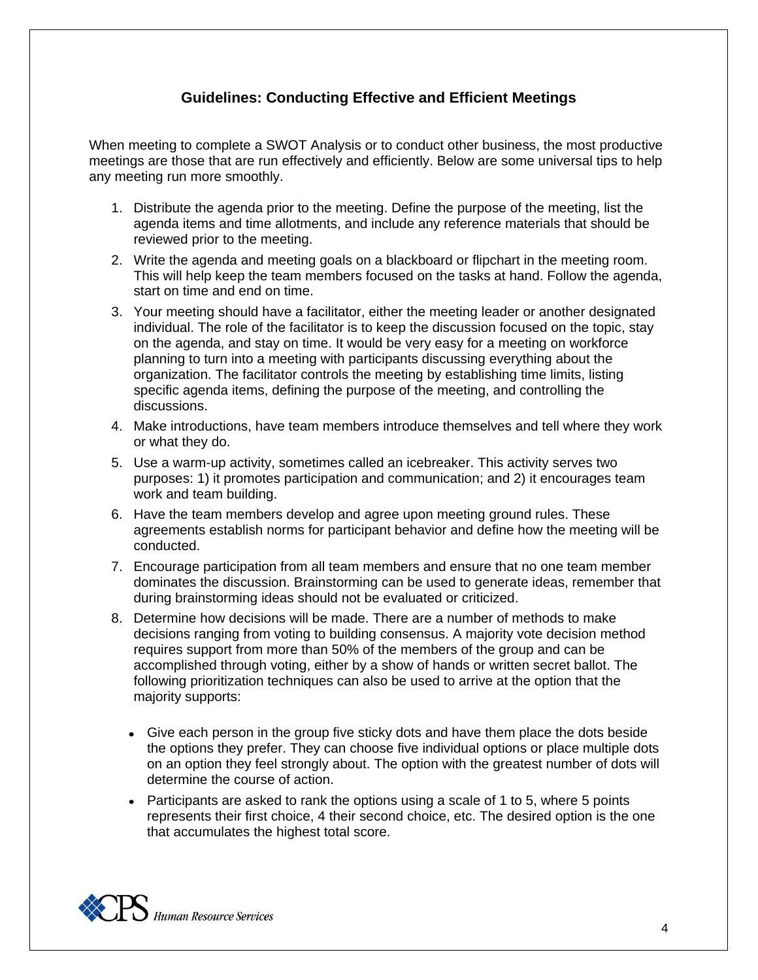# **Guidelines: Conducting Effective and Efficient Meetings**

When meeting to complete a SWOT Analysis or to conduct other business, the most productive meetings are those that are run effectively and efficiently. Below are some universal tips to help any meeting run more smoothly.

- 1. Distribute the agenda prior to the meeting. Define the purpose of the meeting, list the agenda items and time allotments, and include any reference materials that should be reviewed prior to the meeting.
- 2. Write the agenda and meeting goals on a blackboard or flipchart in the meeting room. This will help keep the team members focused on the tasks at hand. Follow the agenda, start on time and end on time.
- 3. Your meeting should have a facilitator, either the meeting leader or another designated individual. The role of the facilitator is to keep the discussion focused on the topic, stay on the agenda, and stay on time. It would be very easy for a meeting on workforce planning to turn into a meeting with participants discussing everything about the organization. The facilitator controls the meeting by establishing time limits, listing specific agenda items, defining the purpose of the meeting, and controlling the discussions.
- 4. Make introductions, have team members introduce themselves and tell where they work or what they do.
- 5. Use a warm-up activity, sometimes called an icebreaker. This activity serves two purposes: 1) it promotes participation and communication; and 2) it encourages team work and team building.
- 6. Have the team members develop and agree upon meeting ground rules. These agreements establish norms for participant behavior and define how the meeting will be conducted.
- 7. Encourage participation from all team members and ensure that no one team member dominates the discussion. Brainstorming can be used to generate ideas, remember that during brainstorming ideas should not be evaluated or criticized.
- 8. Determine how decisions will be made. There are a number of methods to make decisions ranging from voting to building consensus. A majority vote decision method requires support from more than 50% of the members of the group and can be accomplished through voting, either by a show of hands or written secret ballot. The following prioritization techniques can also be used to arrive at the option that the majority supports:
	- Give each person in the group five sticky dots and have them place the dots beside the options they prefer. They can choose five individual options or place multiple dots on an option they feel strongly about. The option with the greatest number of dots will determine the course of action.
	- Participants are asked to rank the options using a scale of 1 to 5, where 5 points represents their first choice, 4 their second choice, etc. The desired option is the one that accumulates the highest total score.